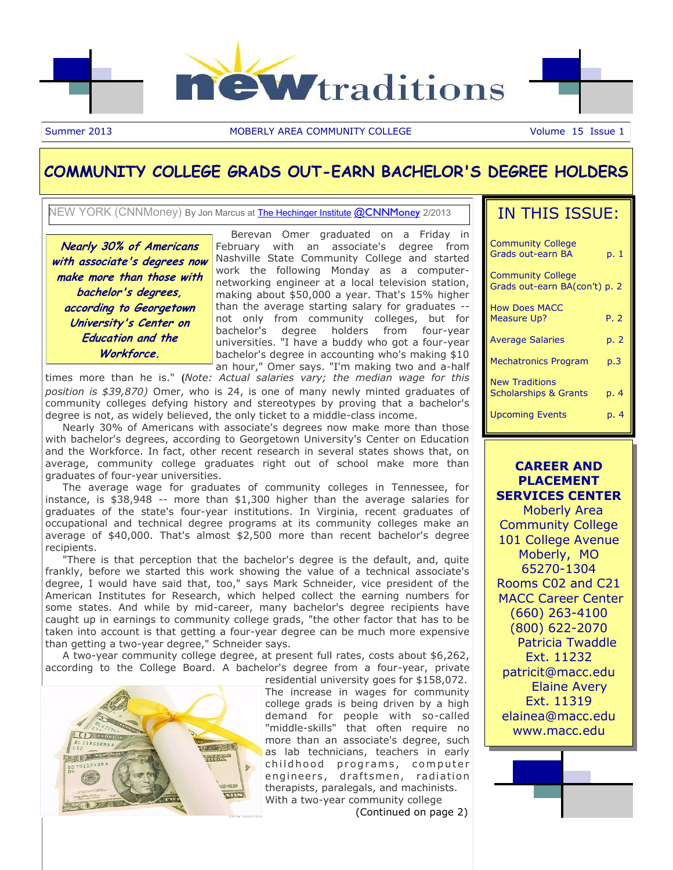

Summer 2013 **MOBERLY AREA COMMUNITY COLLEGE** Volume 15 Issue 1

#### **COMMUNITY COLLEGE GRADS OUT-EARN BACHELOR'S DEGREE HOLDERS**

NEW YORK (CNNMoney) By Jon Marcus at [The Hechinger Institute](http://hechinger.tc.columbia.edu/) [@CNNMoney](https://twitter.com/intent/user?screen_name=cnnmoney) 2/2013

**Nearly 30% of Americans with associate's degrees now make more than those with bachelor's degrees, according to Georgetown University's Center on Education and the Workforce.**

 Berevan Omer graduated on a Friday in February with an associate's degree from Nashville State Community College and started work the following Monday as a computernetworking engineer at a local television station, making about \$50,000 a year. That's 15% higher than the average starting salary for graduates - not only from community colleges, but for bachelor's degree holders from four-year universities. "I have a buddy who got a four-year bachelor's degree in accounting who's making \$10 an hour," Omer says. "I'm making two and a-half

times more than he is." (*Note: Actual salaries vary; the median wage for this position is \$39,870)* Omer, who is 24, is one of many newly minted graduates of community colleges defying history and stereotypes by proving that a bachelor's degree is not, as widely believed, the only ticket to a middle-class income.

 Nearly 30% of Americans with associate's degrees now make more than those with bachelor's degrees, according to Georgetown University's Center on Education and the Workforce. In fact, other recent research in several states shows that, on average, community college graduates right out of school make more than graduates of four-year universities.

 The average wage for graduates of community colleges in Tennessee, for instance, is \$38,948 -- more than \$1,300 higher than the average salaries for graduates of the state's four-year institutions. In Virginia, recent graduates of occupational and technical degree programs at its community colleges make an average of \$40,000. That's almost \$2,500 more than recent bachelor's degree recipients.

 "There is that perception that the bachelor's degree is the default, and, quite frankly, before we started this work showing the value of a technical associate's degree, I would have said that, too," says Mark Schneider, vice president of the American Institutes for Research, which helped collect the earning numbers for some states. And while by mid-career, many bachelor's degree recipients have caught up in earnings to community college grads, "the other factor that has to be taken into account is that getting a four-year degree can be much more expensive than getting a two-year degree," Schneider says.

 A two-year community college degree, at present full rates, costs about \$6,262, according to the College Board. A bachelor's degree from a four-year, private



residential university goes for \$158,072. The increase in wages for community college grads is being driven by a high demand for people with so-called "middle-skills" that often require no more than an associate's degree, such as lab technicians, teachers in early childhood programs, computer engineers, draftsmen, radiation therapists, paralegals, and machinists. With a two-year community college

(Continued on page 2)

### IN THIS ISSUE:

| <b>Community College</b><br>Grads out-earn BA             | p. 1 |
|-----------------------------------------------------------|------|
| <b>Community College</b><br>Grads out-earn BA(con't) p. 2 |      |
| <b>How Does MACC</b><br><b>Measure Up?</b>                | P. 2 |
| <b>Average Salaries</b>                                   | p. 2 |
| <b>Mechatronics Program</b>                               | p.3  |
| <b>New Traditions</b><br><b>Scholarships &amp; Grants</b> | p. 4 |
| <b>Upcoming Events</b>                                    | p. 4 |

**CAREER AND PLACEMENT SERVICES CENTER** Moberly Area Community College 101 College Avenue Moberly, MO 65270-1304 Rooms C02 and C21 MACC Career Center (660) 263-4100 (800) 622-2070 Patricia Twaddle Ext. 11232 patricit@macc.edu Elaine Avery Ext. 11319 elainea@macc.edu www.macc.edu

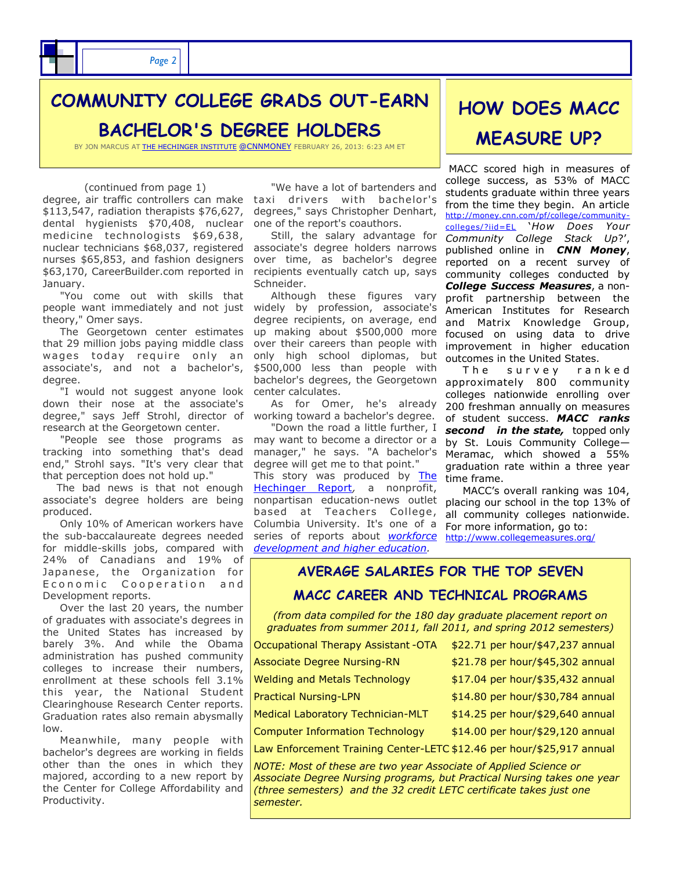

# **COMMUNITY COLLEGE GRADS OUT-EARN**

**BACHELOR'S DEGREE HOLDERS**

BY JON MARCUS AT [THE HECHINGER INSTITUTE](http://hechinger.tc.columbia.edu/) [@CNNMONEY](https://twitter.com/intent/user?screen_name=cnnmoney) FEBRUARY 26, 2013: 6:23 AM ET

#### (continued from page 1)

degree, air traffic controllers can make taxi drivers with bachelor's \$113,547, radiation therapists \$76,627, dental hygienists \$70,408, nuclear medicine technologists \$69,638, nuclear technicians \$68,037, registered nurses \$65,853, and fashion designers \$63,170, CareerBuilder.com reported in January.

 "You come out with skills that people want immediately and not just theory," Omer says.

 The Georgetown center estimates that 29 million jobs paying middle class wages today require only an associate's, and not a bachelor's, degree.

 "I would not suggest anyone look down their nose at the associate's degree," says Jeff Strohl, director of research at the Georgetown center.

 "People see those programs as tracking into something that's dead end," Strohl says. "It's very clear that that perception does not hold up."

 The bad news is that not enough associate's degree holders are being produced.

 Only 10% of American workers have the sub-baccalaureate degrees needed for middle-skills jobs, compared with 24% of Canadians and 19% of Japanese, the Organization for Economic Cooperation and Development reports.

 Over the last 20 years, the number of graduates with associate's degrees in the United States has increased by barely 3%. And while the Obama administration has pushed community colleges to increase their numbers, enrollment at these schools fell 3.1% this year, the National Student Clearinghouse Research Center reports. Graduation rates also remain abysmally low.

 Meanwhile, many people with bachelor's degrees are working in fields other than the ones in which they majored, according to a new report by the Center for College Affordability and Productivity.

 "We have a lot of bartenders and degrees," says Christopher Denhart, one of the report's coauthors.

 Still, the salary advantage for associate's degree holders narrows over time, as bachelor's degree recipients eventually catch up, says Schneider.

 Although these figures vary widely by profession, associate's degree recipients, on average, end up making about \$500,000 more over their careers than people with only high school diplomas, but \$500,000 less than people with bachelor's degrees, the Georgetown center calculates.

 As for Omer, he's already working toward a bachelor's degree.

 "Down the road a little further, I may want to become a director or a manager," he says. "A bachelor's degree will get me to that point."

This story was produced by The [Hechinger Report](http://hechingerreport.org/)*,* a nonprofit, nonpartisan education-news outlet based at Teachers College, Columbia University. It's one of a series of reports about *[workforce](http://hechingerreport.org/category/special_reports/learn-and-earn/)  [development and higher education.](http://hechingerreport.org/category/special_reports/learn-and-earn/)*

# **HOW DOES MACC MEASURE UP?**

MACC scored high in measures of college success, as 53% of MACC students graduate within three years from the time they begin. An article [http://money.cnn.com/pf/college/community](http://money.cnn.com/pf/college/community-colleges/?iid=EL)[colleges/?iid=EL](http://money.cnn.com/pf/college/community-colleges/?iid=EL) '*How Does Your Community College Stack Up*?', published online in *CNN Money*, reported on a recent survey of community colleges conducted by *College Success Measures*, a nonprofit partnership between the American Institutes for Research and Matrix Knowledge Group, focused on using data to drive improvement in higher education outcomes in the United States.

The survey ranked approximately 800 community colleges nationwide enrolling over 200 freshman annually on measures of student success. *MACC ranks second in the state,* topped only by St. Louis Community College— Meramac, which showed a 55% graduation rate within a three year time frame.

 MACC's overall ranking was 104, placing our school in the top 13% of all community colleges nationwide. For more information, go to: <http://www.collegemeasures.org/>

**AVERAGE SALARIES FOR THE TOP SEVEN MACC CAREER AND TECHNICAL PROGRAMS** 

*(from data compiled for the 180 day graduate placement report on graduates from summer 2011, fall 2011, and spring 2012 semesters)*

| Occupational Therapy Assistant -OTA                                   | \$22.71 per hour/\$47,237 annual |
|-----------------------------------------------------------------------|----------------------------------|
| Associate Degree Nursing-RN                                           | \$21.78 per hour/\$45,302 annual |
| <b>Welding and Metals Technology</b>                                  | \$17.04 per hour/\$35,432 annual |
| <b>Practical Nursing-LPN</b>                                          | \$14.80 per hour/\$30,784 annual |
| Medical Laboratory Technician-MLT                                     | \$14.25 per hour/\$29,640 annual |
| Computer Information Technology                                       | \$14.00 per hour/\$29,120 annual |
| Law Enforcement Training Center-LETC \$12.46 per hour/\$25,917 annual |                                  |

*NOTE: Most of these are two year Associate of Applied Science or Associate Degree Nursing programs, but Practical Nursing takes one year (three semesters) and the 32 credit LETC certificate takes just one semester.*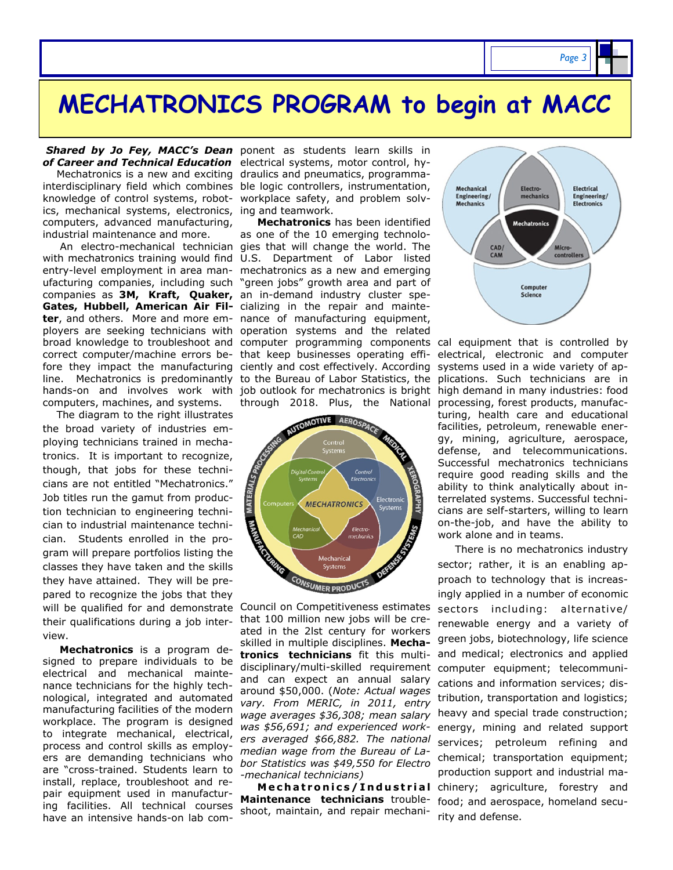ics, mechanical systems, electronics, ing and teamwork. computers, advanced manufacturing, industrial maintenance and more.

 An electro-mechanical technician gies that will change the world. The with mechatronics training would find U.S. Department of Labor listed entry-level employment in area man-mechatronics as a new and emerging ufacturing companies, including such "green jobs" growth area and part of companies as **3M, Kraft, Quaker,**  an in-demand industry cluster spe-**Gates, Hubbell, American Air Fil-**cializing in the repair and mainte**ter**, and others. More and more em-nance of manufacturing equipment, ployers are seeking technicians with operation systems and the related broad knowledge to troubleshoot and computer programming components cal equipment that is controlled by correct computer/machine errors be-that keep businesses operating effifore they impact the manufacturing ciently and cost effectively. According line. Mechatronics is predominantly to the Bureau of Labor Statistics, the hands-on and involves work with job outlook for mechatronics is bright computers, machines, and systems.

 The diagram to the right illustrates the broad variety of industries employing technicians trained in mechatronics. It is important to recognize, though, that jobs for these technicians are not entitled "Mechatronics." Job titles run the gamut from production technician to engineering technician to industrial maintenance technician. Students enrolled in the program will prepare portfolios listing the classes they have taken and the skills they have attained. They will be prepared to recognize the jobs that they will be qualified for and demonstrate their qualifications during a job interview.

 **Mechatronics** is a program designed to prepare individuals to be electrical and mechanical maintenance technicians for the highly technological, integrated and automated manufacturing facilities of the modern workplace. The program is designed to integrate mechanical, electrical, process and control skills as employers are demanding technicians who are "cross-trained. Students learn to install, replace, troubleshoot and repair equipment used in manufacturing facilities. All technical courses have an intensive hands-on lab com-

Shared by Jo Fey, MACC's Dean ponent as students learn skills in *of Career and Technical Education* electrical systems, motor control, hy- Mechatronics is a new and exciting draulics and pneumatics, programmainterdisciplinary field which combines ble logic controllers, instrumentation, knowledge of control systems, robot-workplace safety, and problem solv-

> **Mechatronics** has been identified as one of the 10 emerging technolothrough 2018. Plus, the National



Council on Competitiveness estimates that 100 million new jobs will be created in the 2lst century for workers skilled in multiple disciplines. **Mechatronics technicians** fit this multidisciplinary/multi-skilled requirement and can expect an annual salary around \$50,000. (*Note: Actual wages vary. From MERIC, in 2011, entry wage averages \$36,308; mean salary was \$56,691; and experienced workers averaged \$66,882. The national median wage from the Bureau of Labor Statistics was \$49,550 for Electro -mechanical technicians)*

 **M e c h a t r o n i c s / I n d u s t r i a l Maintenance technicians** troubleshoot, maintain, and repair mechani-



electrical, electronic and computer systems used in a wide variety of applications. Such technicians are in high demand in many industries: food processing, forest products, manufacturing, health care and educational facilities, petroleum, renewable energy, mining, agriculture, aerospace, defense, and telecommunications. Successful mechatronics technicians require good reading skills and the ability to think analytically about interrelated systems. Successful technicians are self-starters, willing to learn on-the-job, and have the ability to work alone and in teams.

 There is no mechatronics industry sector; rather, it is an enabling approach to technology that is increasingly applied in a number of economic sectors including: alternative/ renewable energy and a variety of green jobs, biotechnology, life science and medical; electronics and applied computer equipment; telecommunications and information services; distribution, transportation and logistics; heavy and special trade construction; energy, mining and related support services; petroleum refining and chemical; transportation equipment; production support and industrial machinery; agriculture, forestry and food; and aerospace, homeland security and defense.